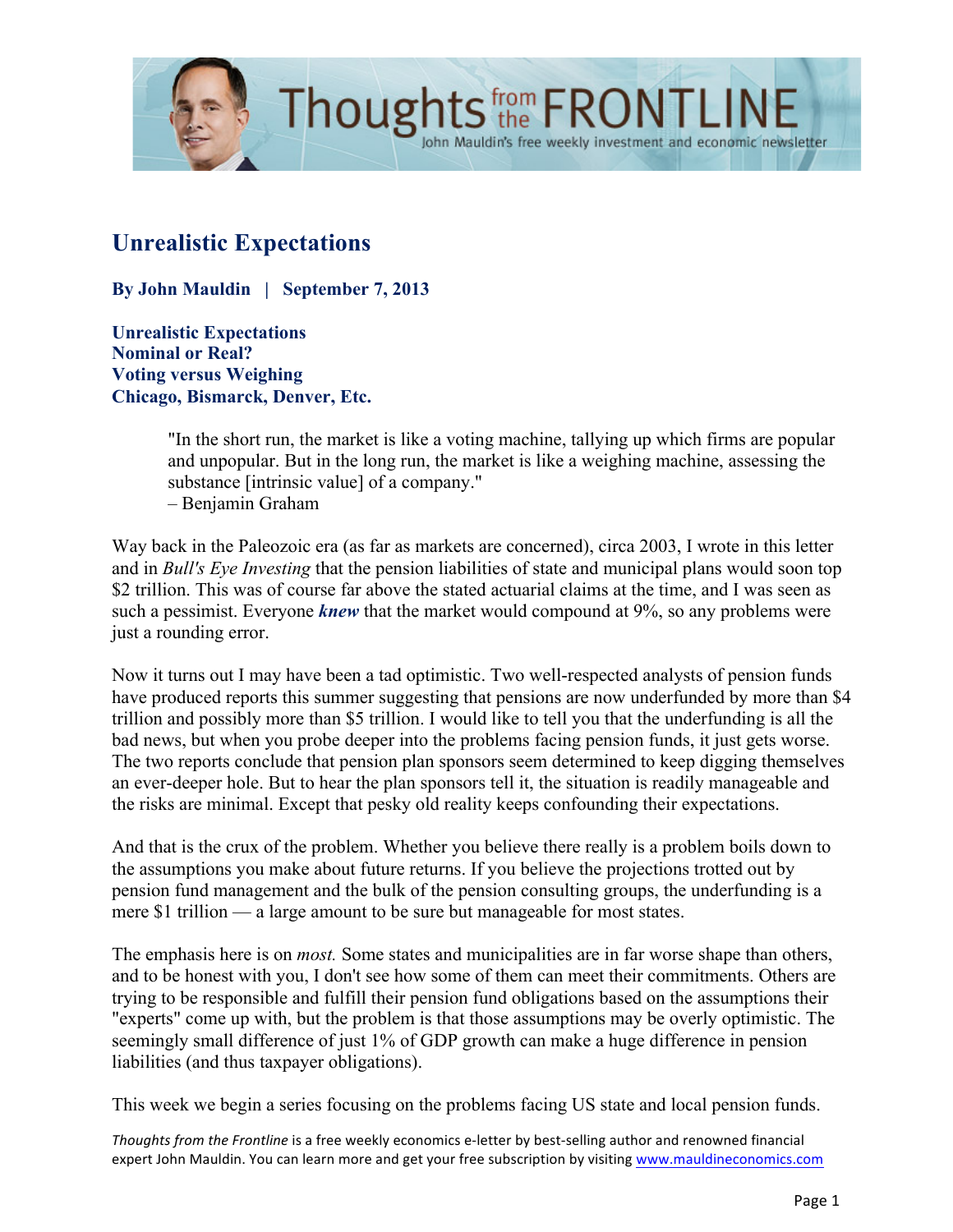

### **Unrealistic Expectations**

**By John Mauldin | September 7, 2013**

**Unrealistic Expectations Nominal or Real? Voting versus Weighing Chicago, Bismarck, Denver, Etc.**

> "In the short run, the market is like a voting machine, tallying up which firms are popular and unpopular. But in the long run, the market is like a weighing machine, assessing the substance [intrinsic value] of a company."

– Benjamin Graham

Way back in the Paleozoic era (as far as markets are concerned), circa 2003, I wrote in this letter and in *Bull's Eye Investing* that the pension liabilities of state and municipal plans would soon top \$2 trillion. This was of course far above the stated actuarial claims at the time, and I was seen as such a pessimist. Everyone *knew* that the market would compound at 9%, so any problems were just a rounding error.

Now it turns out I may have been a tad optimistic. Two well-respected analysts of pension funds have produced reports this summer suggesting that pensions are now underfunded by more than \$4 trillion and possibly more than \$5 trillion. I would like to tell you that the underfunding is all the bad news, but when you probe deeper into the problems facing pension funds, it just gets worse. The two reports conclude that pension plan sponsors seem determined to keep digging themselves an ever-deeper hole. But to hear the plan sponsors tell it, the situation is readily manageable and the risks are minimal. Except that pesky old reality keeps confounding their expectations.

And that is the crux of the problem. Whether you believe there really is a problem boils down to the assumptions you make about future returns. If you believe the projections trotted out by pension fund management and the bulk of the pension consulting groups, the underfunding is a mere \$1 trillion — a large amount to be sure but manageable for most states.

The emphasis here is on *most.* Some states and municipalities are in far worse shape than others, and to be honest with you, I don't see how some of them can meet their commitments. Others are trying to be responsible and fulfill their pension fund obligations based on the assumptions their "experts" come up with, but the problem is that those assumptions may be overly optimistic. The seemingly small difference of just 1% of GDP growth can make a huge difference in pension liabilities (and thus taxpayer obligations).

This week we begin a series focusing on the problems facing US state and local pension funds.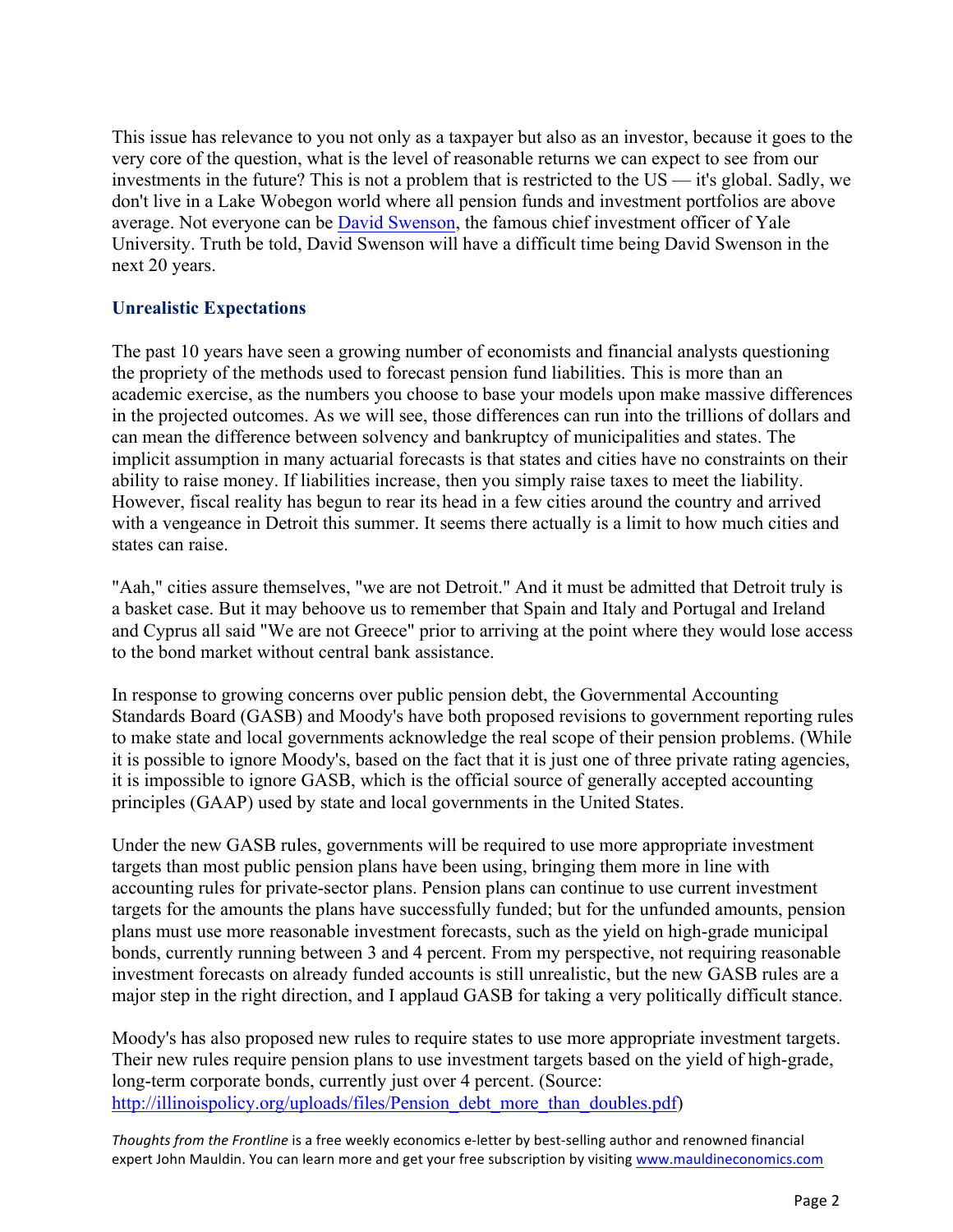This issue has relevance to you not only as a taxpayer but also as an investor, because it goes to the very core of the question, what is the level of reasonable returns we can expect to see from our investments in the future? This is not a problem that is restricted to the US — it's global. Sadly, we don't live in a Lake Wobegon world where all pension funds and investment portfolios are above average. Not everyone can be [David Swenson,](http://en.wikipedia.org/wiki/David_F._Swensen) the famous chief investment officer of Yale University. Truth be told, David Swenson will have a difficult time being David Swenson in the next 20 years.

#### **Unrealistic Expectations**

The past 10 years have seen a growing number of economists and financial analysts questioning the propriety of the methods used to forecast pension fund liabilities. This is more than an academic exercise, as the numbers you choose to base your models upon make massive differences in the projected outcomes. As we will see, those differences can run into the trillions of dollars and can mean the difference between solvency and bankruptcy of municipalities and states. The implicit assumption in many actuarial forecasts is that states and cities have no constraints on their ability to raise money. If liabilities increase, then you simply raise taxes to meet the liability. However, fiscal reality has begun to rear its head in a few cities around the country and arrived with a vengeance in Detroit this summer. It seems there actually is a limit to how much cities and states can raise.

"Aah," cities assure themselves, "we are not Detroit." And it must be admitted that Detroit truly is a basket case. But it may behoove us to remember that Spain and Italy and Portugal and Ireland and Cyprus all said "We are not Greece" prior to arriving at the point where they would lose access to the bond market without central bank assistance.

In response to growing concerns over public pension debt, the Governmental Accounting Standards Board (GASB) and Moody's have both proposed revisions to government reporting rules to make state and local governments acknowledge the real scope of their pension problems. (While it is possible to ignore Moody's, based on the fact that it is just one of three private rating agencies, it is impossible to ignore GASB, which is the official source of generally accepted accounting principles (GAAP) used by state and local governments in the United States.

Under the new GASB rules, governments will be required to use more appropriate investment targets than most public pension plans have been using, bringing them more in line with accounting rules for private-sector plans. Pension plans can continue to use current investment targets for the amounts the plans have successfully funded; but for the unfunded amounts, pension plans must use more reasonable investment forecasts, such as the yield on high-grade municipal bonds, currently running between 3 and 4 percent. From my perspective, not requiring reasonable investment forecasts on already funded accounts is still unrealistic, but the new GASB rules are a major step in the right direction, and I applaud GASB for taking a very politically difficult stance.

Moody's has also proposed new rules to require states to use more appropriate investment targets. Their new rules require pension plans to use investment targets based on the yield of high-grade, long-term corporate bonds, currently just over 4 percent. (Source: [http://illinoispolicy.org/uploads/files/Pension\\_debt\\_more\\_than\\_doubles.pdf\)](http://illinoispolicy.org/uploads/files/Pension_debt_more_than_doubles.pdf)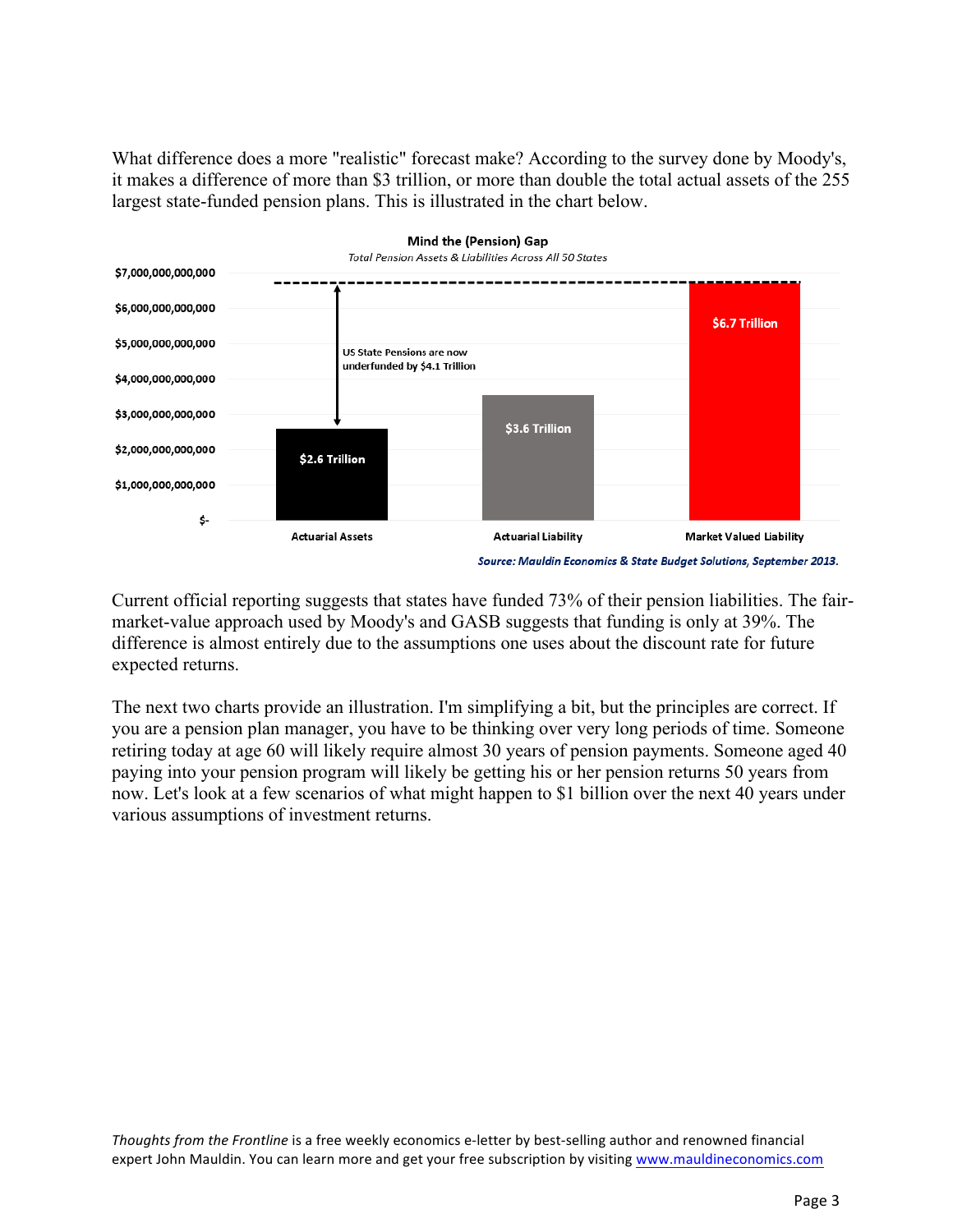What difference does a more "realistic" forecast make? According to the survey done by Moody's, it makes a difference of more than \$3 trillion, or more than double the total actual assets of the 255 largest state-funded pension plans. This is illustrated in the chart below.



Current official reporting suggests that states have funded 73% of their pension liabilities. The fairmarket-value approach used by Moody's and GASB suggests that funding is only at 39%. The difference is almost entirely due to the assumptions one uses about the discount rate for future expected returns.

The next two charts provide an illustration. I'm simplifying a bit, but the principles are correct. If you are a pension plan manager, you have to be thinking over very long periods of time. Someone retiring today at age 60 will likely require almost 30 years of pension payments. Someone aged 40 paying into your pension program will likely be getting his or her pension returns 50 years from now. Let's look at a few scenarios of what might happen to \$1 billion over the next 40 years under various assumptions of investment returns.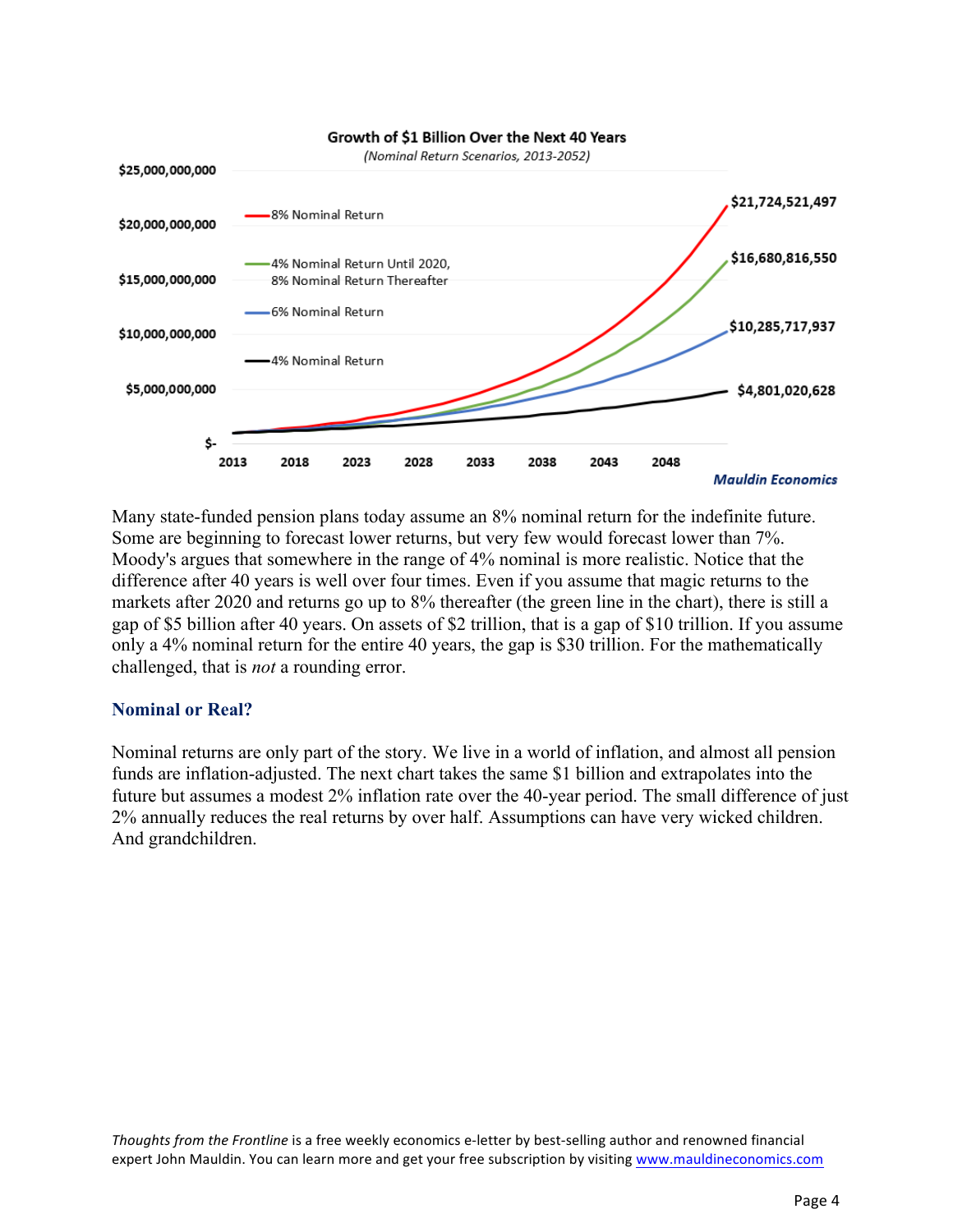

Many state-funded pension plans today assume an 8% nominal return for the indefinite future. Some are beginning to forecast lower returns, but very few would forecast lower than 7%. Moody's argues that somewhere in the range of 4% nominal is more realistic. Notice that the difference after 40 years is well over four times. Even if you assume that magic returns to the markets after 2020 and returns go up to 8% thereafter (the green line in the chart), there is still a gap of \$5 billion after 40 years. On assets of \$2 trillion, that is a gap of \$10 trillion. If you assume only a 4% nominal return for the entire 40 years, the gap is \$30 trillion. For the mathematically challenged, that is *not* a rounding error.

#### **Nominal or Real?**

Nominal returns are only part of the story. We live in a world of inflation, and almost all pension funds are inflation-adjusted. The next chart takes the same \$1 billion and extrapolates into the future but assumes a modest 2% inflation rate over the 40-year period. The small difference of just 2% annually reduces the real returns by over half. Assumptions can have very wicked children. And grandchildren.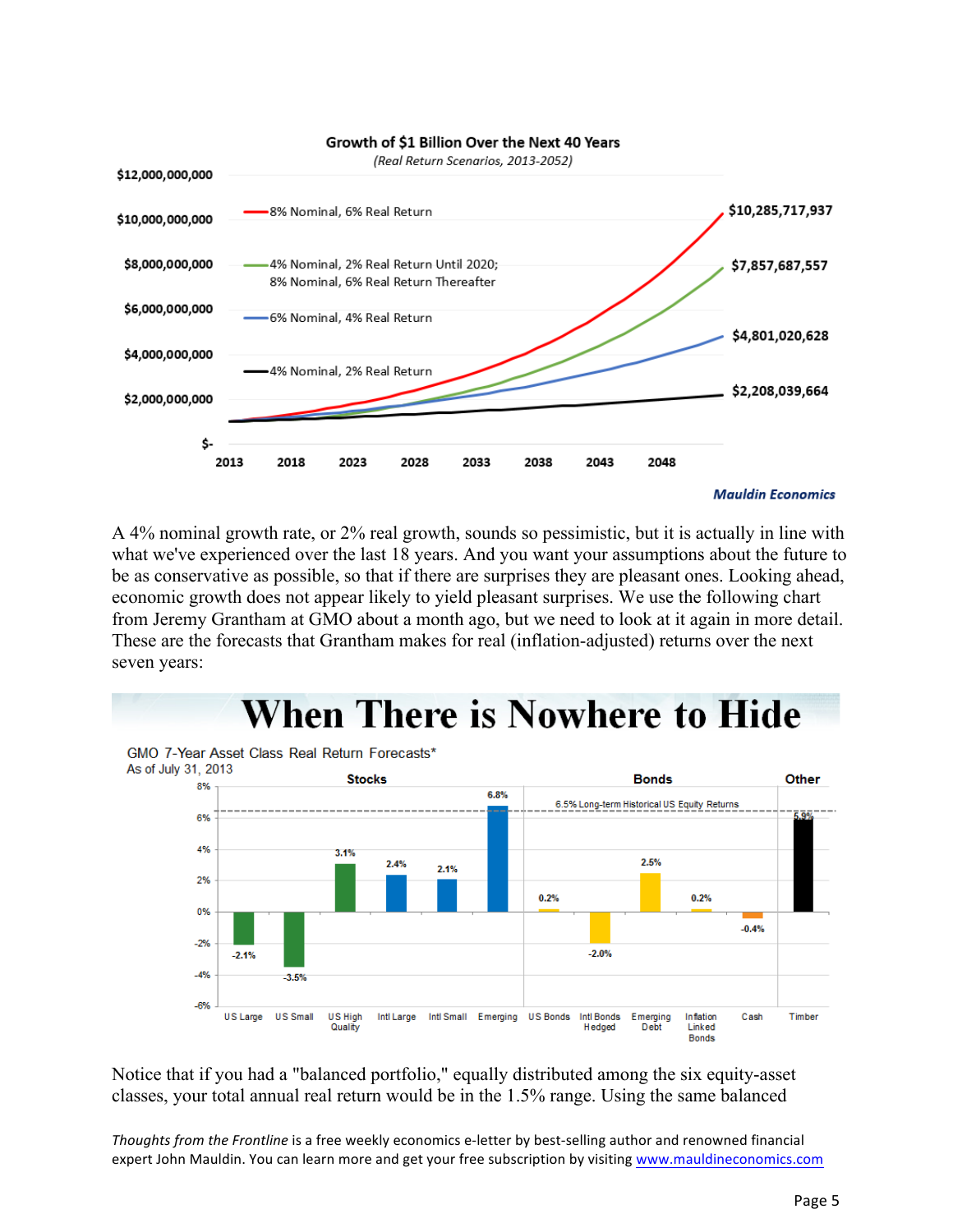

A 4% nominal growth rate, or 2% real growth, sounds so pessimistic, but it is actually in line with what we've experienced over the last 18 years. And you want your assumptions about the future to be as conservative as possible, so that if there are surprises they are pleasant ones. Looking ahead, economic growth does not appear likely to yield pleasant surprises. We use the following chart from Jeremy Grantham at GMO about a month ago, but we need to look at it again in more detail. These are the forecasts that Grantham makes for real (inflation-adjusted) returns over the next seven years:

# **When There is Nowhere to Hide**



Notice that if you had a "balanced portfolio," equally distributed among the six equity-asset classes, your total annual real return would be in the 1.5% range. Using the same balanced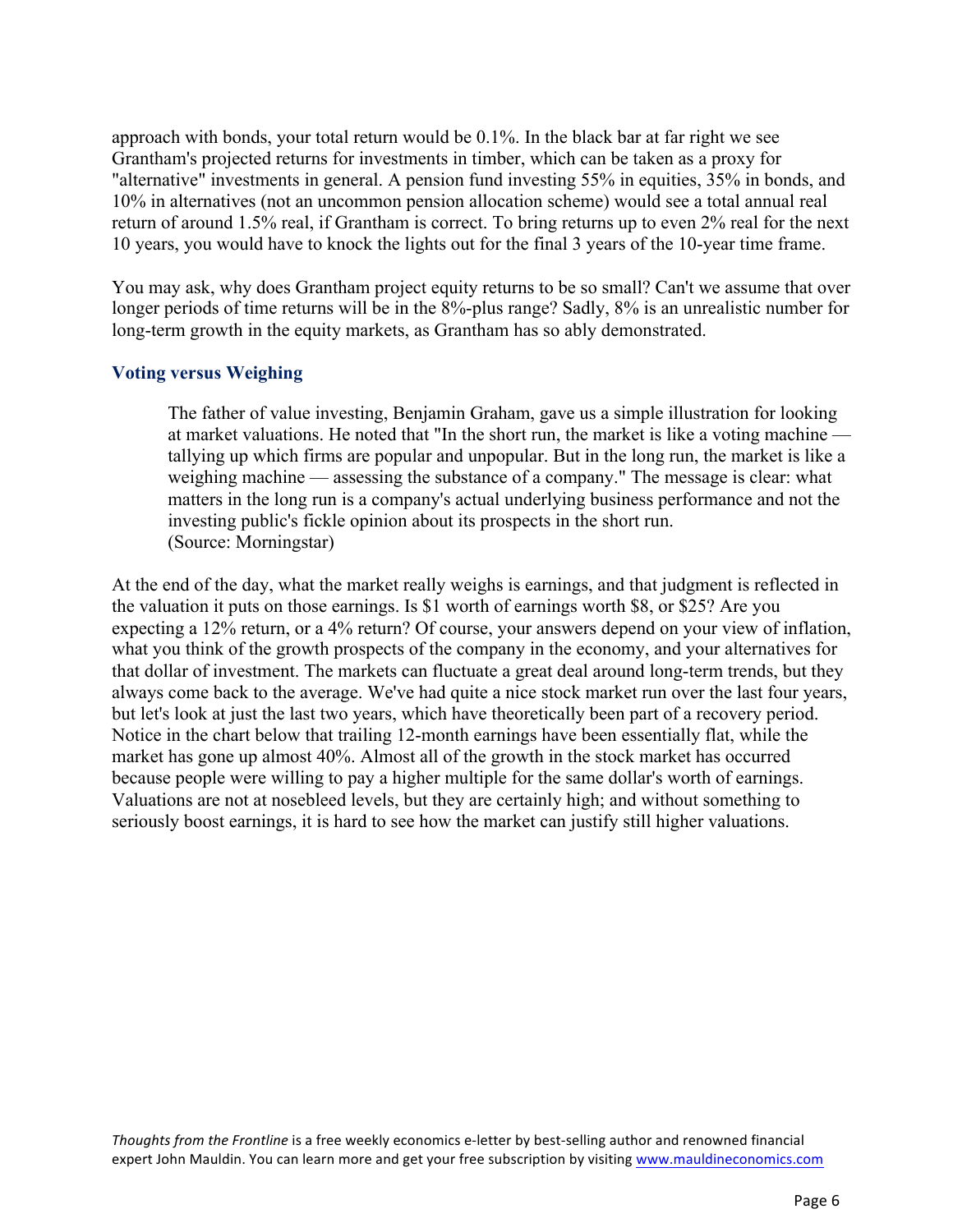approach with bonds, your total return would be 0.1%. In the black bar at far right we see Grantham's projected returns for investments in timber, which can be taken as a proxy for "alternative" investments in general. A pension fund investing 55% in equities, 35% in bonds, and 10% in alternatives (not an uncommon pension allocation scheme) would see a total annual real return of around 1.5% real, if Grantham is correct. To bring returns up to even 2% real for the next 10 years, you would have to knock the lights out for the final 3 years of the 10-year time frame.

You may ask, why does Grantham project equity returns to be so small? Can't we assume that over longer periods of time returns will be in the 8%-plus range? Sadly, 8% is an unrealistic number for long-term growth in the equity markets, as Grantham has so ably demonstrated.

#### **Voting versus Weighing**

The father of value investing, Benjamin Graham, gave us a simple illustration for looking at market valuations. He noted that "In the short run, the market is like a voting machine tallying up which firms are popular and unpopular. But in the long run, the market is like a weighing machine — assessing the substance of a company." The message is clear: what matters in the long run is a company's actual underlying business performance and not the investing public's fickle opinion about its prospects in the short run. (Source: Morningstar)

At the end of the day, what the market really weighs is earnings, and that judgment is reflected in the valuation it puts on those earnings. Is \$1 worth of earnings worth \$8, or \$25? Are you expecting a 12% return, or a 4% return? Of course, your answers depend on your view of inflation, what you think of the growth prospects of the company in the economy, and your alternatives for that dollar of investment. The markets can fluctuate a great deal around long-term trends, but they always come back to the average. We've had quite a nice stock market run over the last four years, but let's look at just the last two years, which have theoretically been part of a recovery period. Notice in the chart below that trailing 12-month earnings have been essentially flat, while the market has gone up almost 40%. Almost all of the growth in the stock market has occurred because people were willing to pay a higher multiple for the same dollar's worth of earnings. Valuations are not at nosebleed levels, but they are certainly high; and without something to seriously boost earnings, it is hard to see how the market can justify still higher valuations.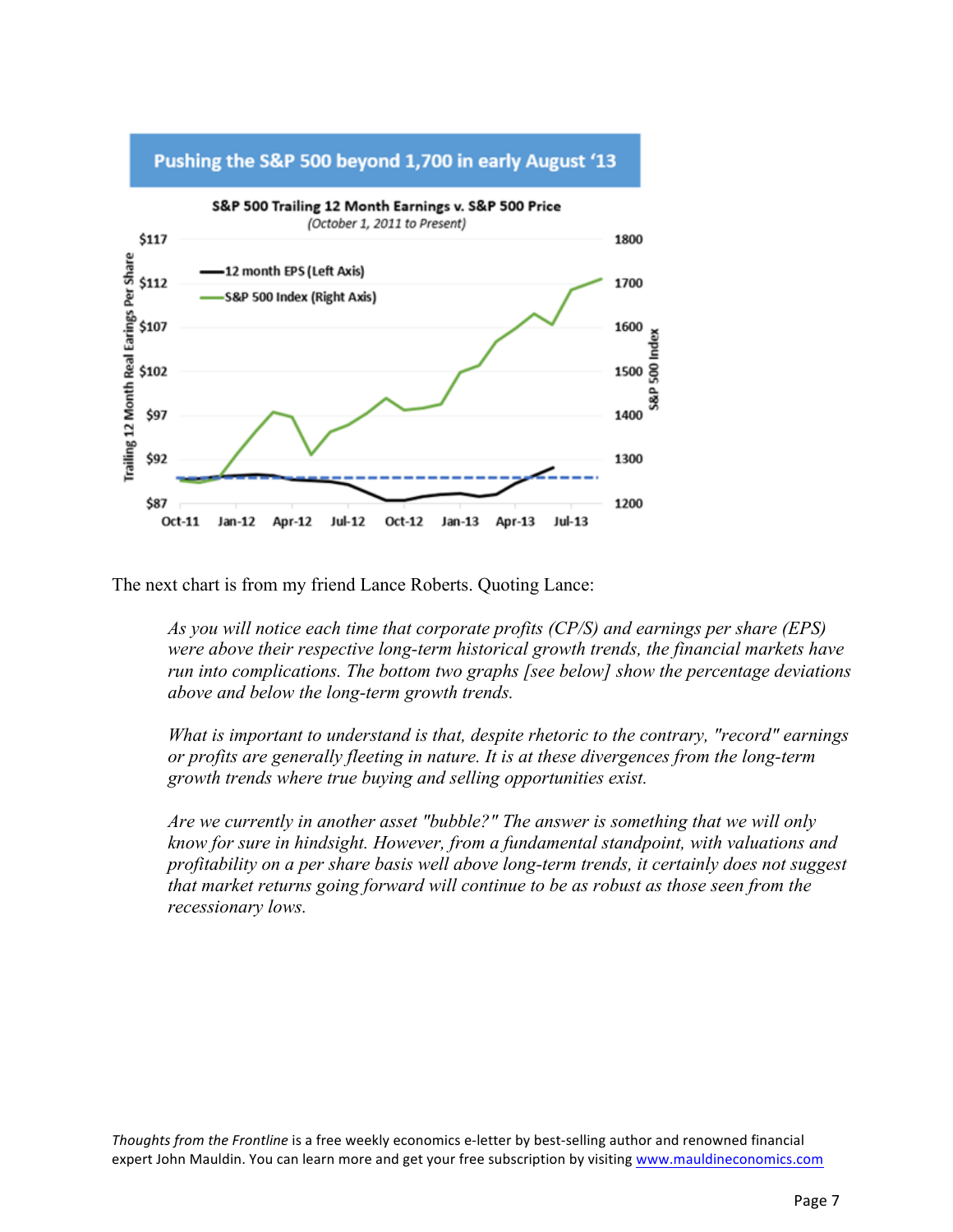

Pushing the S&P 500 beyond 1,700 in early August '13

The next chart is from my friend Lance Roberts. Quoting Lance:

*As you will notice each time that corporate profits (CP/S) and earnings per share (EPS) were above their respective long-term historical growth trends, the financial markets have run into complications. The bottom two graphs [see below] show the percentage deviations above and below the long-term growth trends.*

*What is important to understand is that, despite rhetoric to the contrary, "record" earnings or profits are generally fleeting in nature. It is at these divergences from the long-term growth trends where true buying and selling opportunities exist.*

*Are we currently in another asset "bubble?" The answer is something that we will only know for sure in hindsight. However, from a fundamental standpoint, with valuations and profitability on a per share basis well above long-term trends, it certainly does not suggest that market returns going forward will continue to be as robust as those seen from the recessionary lows.*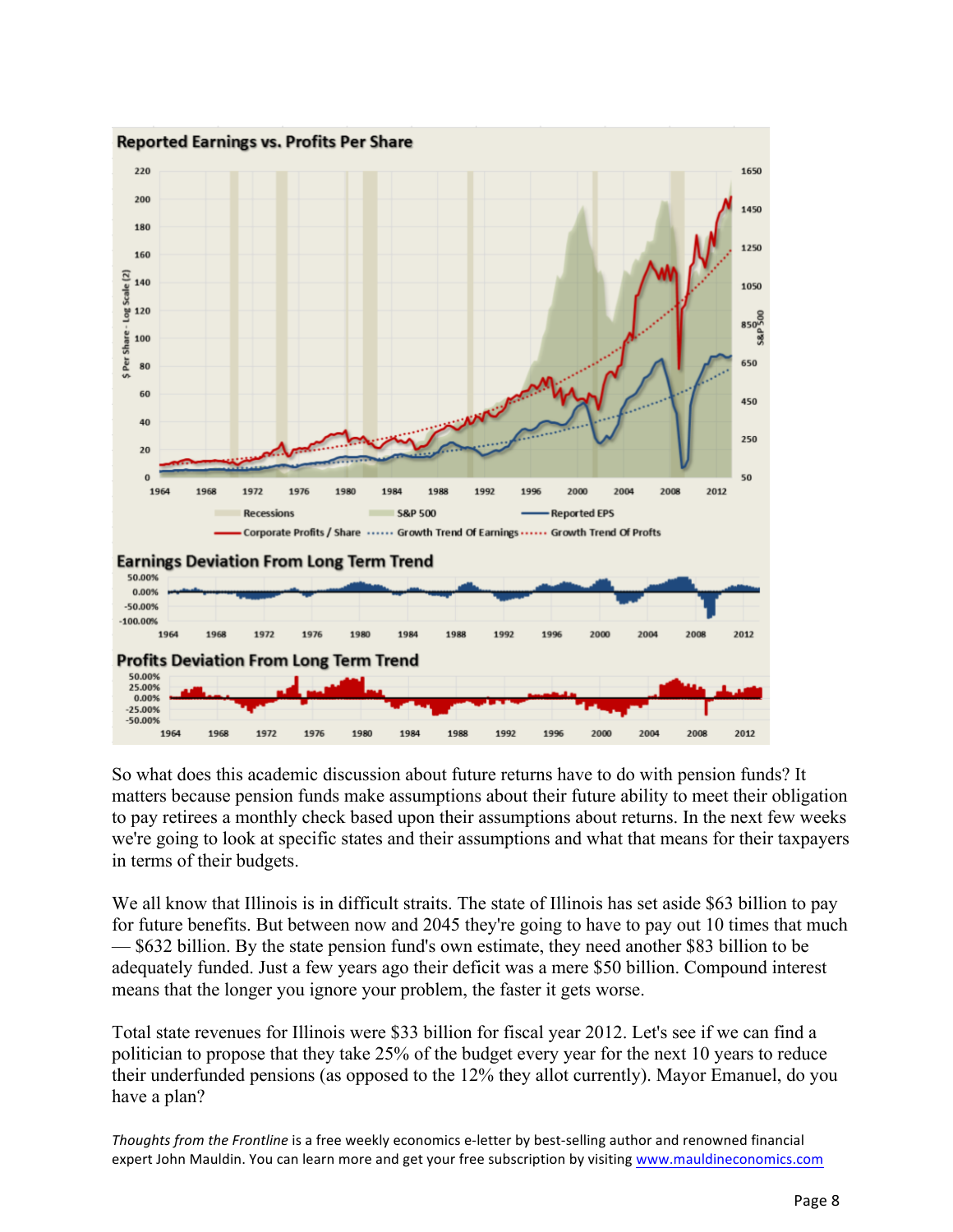

So what does this academic discussion about future returns have to do with pension funds? It matters because pension funds make assumptions about their future ability to meet their obligation to pay retirees a monthly check based upon their assumptions about returns. In the next few weeks we're going to look at specific states and their assumptions and what that means for their taxpayers in terms of their budgets.

We all know that Illinois is in difficult straits. The state of Illinois has set aside \$63 billion to pay for future benefits. But between now and 2045 they're going to have to pay out 10 times that much — \$632 billion. By the state pension fund's own estimate, they need another \$83 billion to be adequately funded. Just a few years ago their deficit was a mere \$50 billion. Compound interest means that the longer you ignore your problem, the faster it gets worse.

Total state revenues for Illinois were \$33 billion for fiscal year 2012. Let's see if we can find a politician to propose that they take 25% of the budget every year for the next 10 years to reduce their underfunded pensions (as opposed to the 12% they allot currently). Mayor Emanuel, do you have a plan?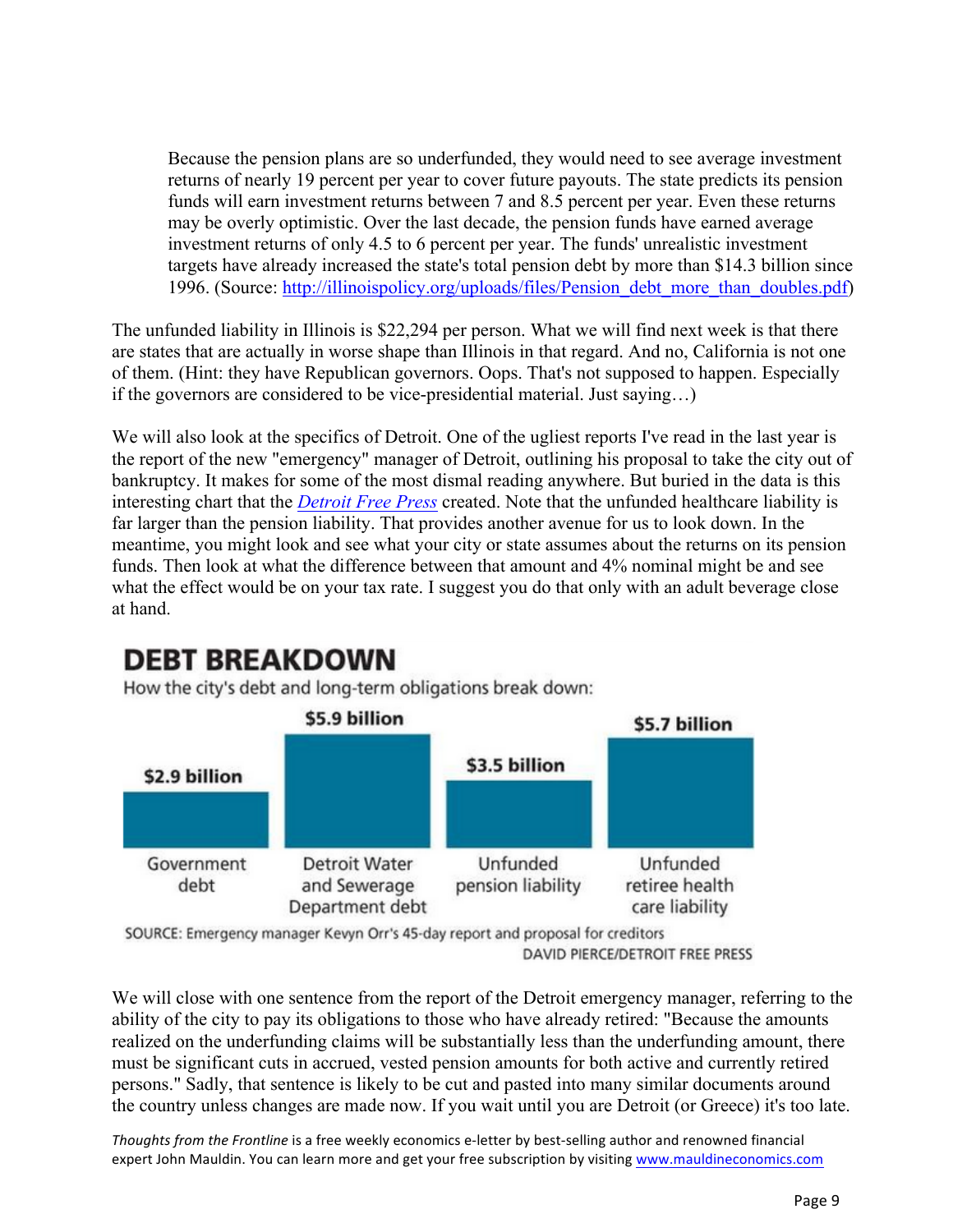Because the pension plans are so underfunded, they would need to see average investment returns of nearly 19 percent per year to cover future payouts. The state predicts its pension funds will earn investment returns between 7 and 8.5 percent per year. Even these returns may be overly optimistic. Over the last decade, the pension funds have earned average investment returns of only 4.5 to 6 percent per year. The funds' unrealistic investment targets have already increased the state's total pension debt by more than \$14.3 billion since 1996. (Source: [http://illinoispolicy.org/uploads/files/Pension\\_debt\\_more\\_than\\_doubles.pdf\)](http://illinoispolicy.org/uploads/files/Pension_debt_more_than_doubles.pdf)

The unfunded liability in Illinois is \$22,294 per person. What we will find next week is that there are states that are actually in worse shape than Illinois in that regard. And no, California is not one of them. (Hint: they have Republican governors. Oops. That's not supposed to happen. Especially if the governors are considered to be vice-presidential material. Just saying…)

We will also look at the specifics of Detroit. One of the ugliest reports I've read in the last year is the report of the new "emergency" manager of Detroit, outlining his proposal to take the city out of bankruptcy. It makes for some of the most dismal reading anywhere. But buried in the data is this interesting chart that the *[Detroit Free Press](http://www.freep.com/article/20130714/OPINION01/307140047/detroit-pensions-financial-crisis-retirees)* created. Note that the unfunded healthcare liability is far larger than the pension liability. That provides another avenue for us to look down. In the meantime, you might look and see what your city or state assumes about the returns on its pension funds. Then look at what the difference between that amount and 4% nominal might be and see what the effect would be on your tax rate. I suggest you do that only with an adult beverage close at hand.

## **DEBT BREAKDOWN**

How the city's debt and long-term obligations break down:



SOURCE: Emergency manager Kevyn Orr's 45-day report and proposal for creditors DAVID PIERCE/DETROIT FREE PRESS

We will close with one sentence from the report of the Detroit emergency manager, referring to the ability of the city to pay its obligations to those who have already retired: "Because the amounts realized on the underfunding claims will be substantially less than the underfunding amount, there must be significant cuts in accrued, vested pension amounts for both active and currently retired persons." Sadly, that sentence is likely to be cut and pasted into many similar documents around the country unless changes are made now. If you wait until you are Detroit (or Greece) it's too late.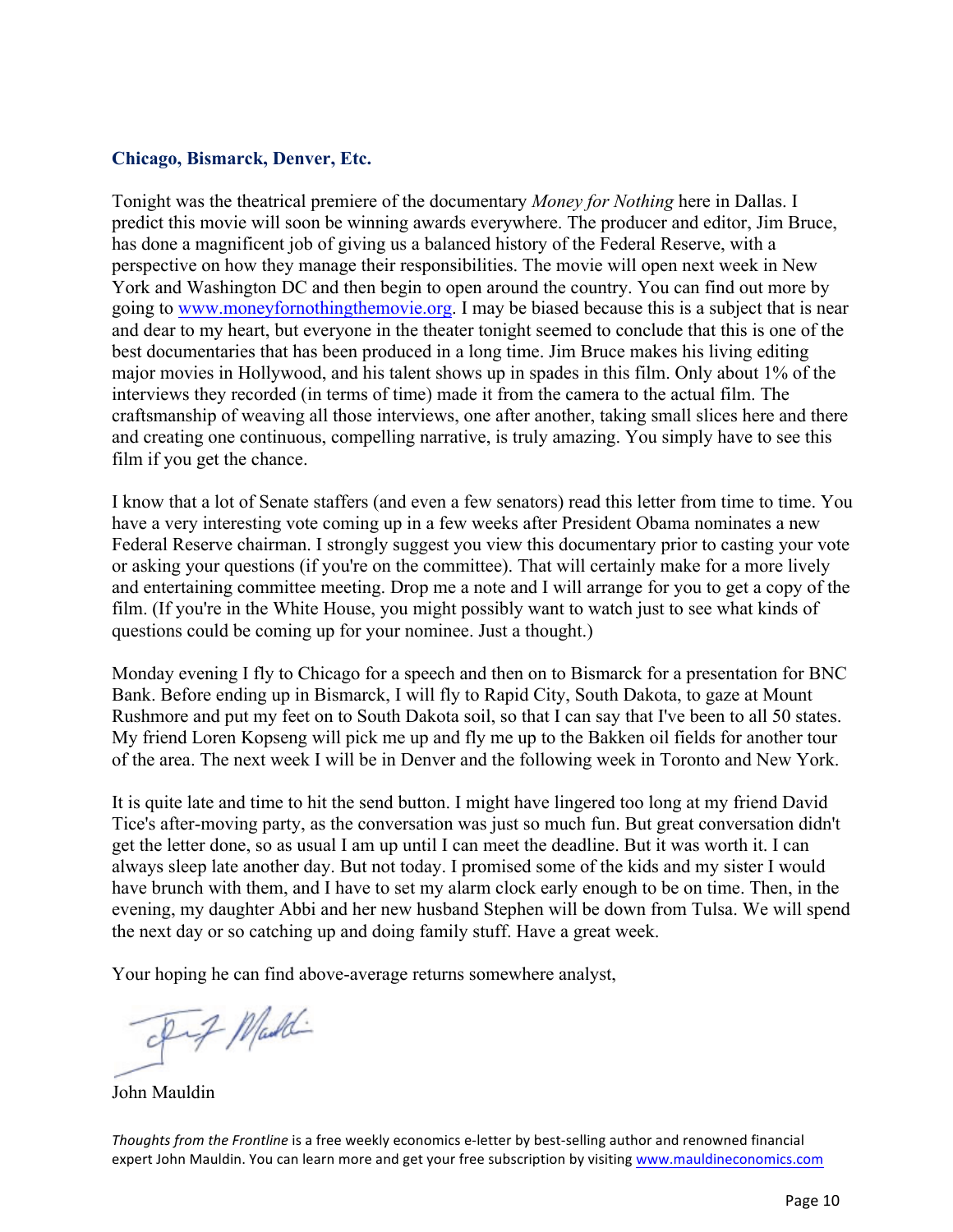#### **Chicago, Bismarck, Denver, Etc.**

Tonight was the theatrical premiere of the documentary *Money for Nothing* here in Dallas. I predict this movie will soon be winning awards everywhere. The producer and editor, Jim Bruce, has done a magnificent job of giving us a balanced history of the Federal Reserve, with a perspective on how they manage their responsibilities. The movie will open next week in New York and Washington DC and then begin to open around the country. You can find out more by going to [www.moneyfornothingthemovie.org.](http://www.moneyfornothingthemovie.org) I may be biased because this is a subject that is near and dear to my heart, but everyone in the theater tonight seemed to conclude that this is one of the best documentaries that has been produced in a long time. Jim Bruce makes his living editing major movies in Hollywood, and his talent shows up in spades in this film. Only about 1% of the interviews they recorded (in terms of time) made it from the camera to the actual film. The craftsmanship of weaving all those interviews, one after another, taking small slices here and there and creating one continuous, compelling narrative, is truly amazing. You simply have to see this film if you get the chance.

I know that a lot of Senate staffers (and even a few senators) read this letter from time to time. You have a very interesting vote coming up in a few weeks after President Obama nominates a new Federal Reserve chairman. I strongly suggest you view this documentary prior to casting your vote or asking your questions (if you're on the committee). That will certainly make for a more lively and entertaining committee meeting. Drop me a note and I will arrange for you to get a copy of the film. (If you're in the White House, you might possibly want to watch just to see what kinds of questions could be coming up for your nominee. Just a thought.)

Monday evening I fly to Chicago for a speech and then on to Bismarck for a presentation for BNC Bank. Before ending up in Bismarck, I will fly to Rapid City, South Dakota, to gaze at Mount Rushmore and put my feet on to South Dakota soil, so that I can say that I've been to all 50 states. My friend Loren Kopseng will pick me up and fly me up to the Bakken oil fields for another tour of the area. The next week I will be in Denver and the following week in Toronto and New York.

It is quite late and time to hit the send button. I might have lingered too long at my friend David Tice's after-moving party, as the conversation was just so much fun. But great conversation didn't get the letter done, so as usual I am up until I can meet the deadline. But it was worth it. I can always sleep late another day. But not today. I promised some of the kids and my sister I would have brunch with them, and I have to set my alarm clock early enough to be on time. Then, in the evening, my daughter Abbi and her new husband Stephen will be down from Tulsa. We will spend the next day or so catching up and doing family stuff. Have a great week.

Your hoping he can find above-average returns somewhere analyst,

Inf Maddi

John Mauldin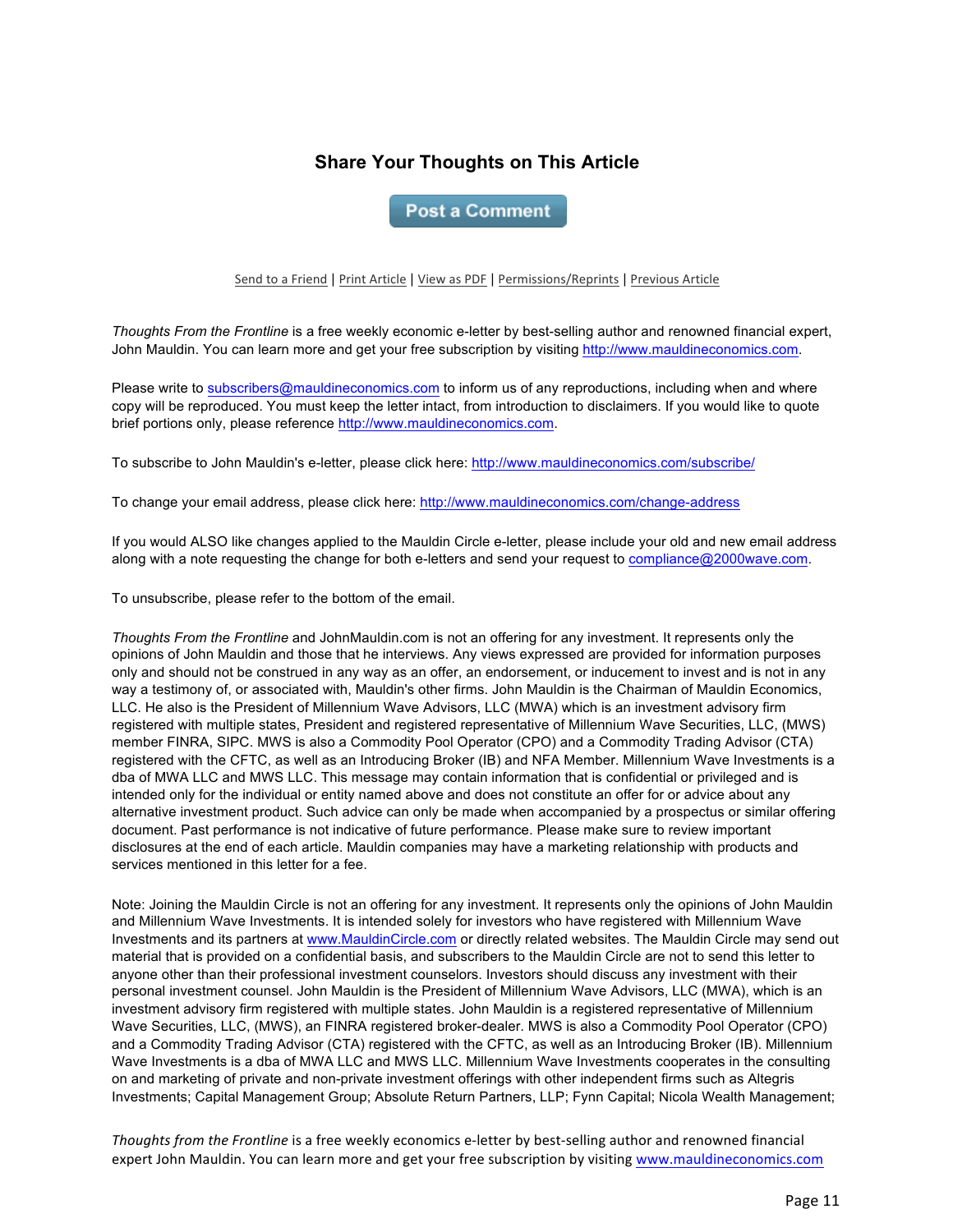#### **Share Your Thoughts on This Article**

**Post a Comment** 

#### Send to a Friend | Print Article | View as PDF | Permissions/Reprints | Previous Article

*Thoughts From the Frontline* is a free weekly economic e-letter by best-selling author and renowned financial expert, John Mauldin. You can learn more and get your free subscription by visiting http://www.mauldineconomics.com.

Please write to subscribers@mauldineconomics.com to inform us of any reproductions, including when and where copy will be reproduced. You must keep the letter intact, from introduction to disclaimers. If you would like to quote brief portions only, please reference http://www.mauldineconomics.com.

To subscribe to John Mauldin's e-letter, please click here: http://www.mauldineconomics.com/subscribe/

To change your email address, please click here: http://www.mauldineconomics.com/change-address

If you would ALSO like changes applied to the Mauldin Circle e-letter, please include your old and new email address along with a note requesting the change for both e-letters and send your request to compliance@2000wave.com.

To unsubscribe, please refer to the bottom of the email.

*Thoughts From the Frontline* and JohnMauldin.com is not an offering for any investment. It represents only the opinions of John Mauldin and those that he interviews. Any views expressed are provided for information purposes only and should not be construed in any way as an offer, an endorsement, or inducement to invest and is not in any way a testimony of, or associated with, Mauldin's other firms. John Mauldin is the Chairman of Mauldin Economics, LLC. He also is the President of Millennium Wave Advisors, LLC (MWA) which is an investment advisory firm registered with multiple states, President and registered representative of Millennium Wave Securities, LLC, (MWS) member FINRA, SIPC. MWS is also a Commodity Pool Operator (CPO) and a Commodity Trading Advisor (CTA) registered with the CFTC, as well as an Introducing Broker (IB) and NFA Member. Millennium Wave Investments is a dba of MWA LLC and MWS LLC. This message may contain information that is confidential or privileged and is intended only for the individual or entity named above and does not constitute an offer for or advice about any alternative investment product. Such advice can only be made when accompanied by a prospectus or similar offering document. Past performance is not indicative of future performance. Please make sure to review important disclosures at the end of each article. Mauldin companies may have a marketing relationship with products and services mentioned in this letter for a fee.

Note: Joining the Mauldin Circle is not an offering for any investment. It represents only the opinions of John Mauldin and Millennium Wave Investments. It is intended solely for investors who have registered with Millennium Wave Investments and its partners at www.MauldinCircle.com or directly related websites. The Mauldin Circle may send out material that is provided on a confidential basis, and subscribers to the Mauldin Circle are not to send this letter to anyone other than their professional investment counselors. Investors should discuss any investment with their personal investment counsel. John Mauldin is the President of Millennium Wave Advisors, LLC (MWA), which is an investment advisory firm registered with multiple states. John Mauldin is a registered representative of Millennium Wave Securities, LLC, (MWS), an FINRA registered broker-dealer. MWS is also a Commodity Pool Operator (CPO) and a Commodity Trading Advisor (CTA) registered with the CFTC, as well as an Introducing Broker (IB). Millennium Wave Investments is a dba of MWA LLC and MWS LLC. Millennium Wave Investments cooperates in the consulting on and marketing of private and non-private investment offerings with other independent firms such as Altegris Investments; Capital Management Group; Absolute Return Partners, LLP; Fynn Capital; Nicola Wealth Management;